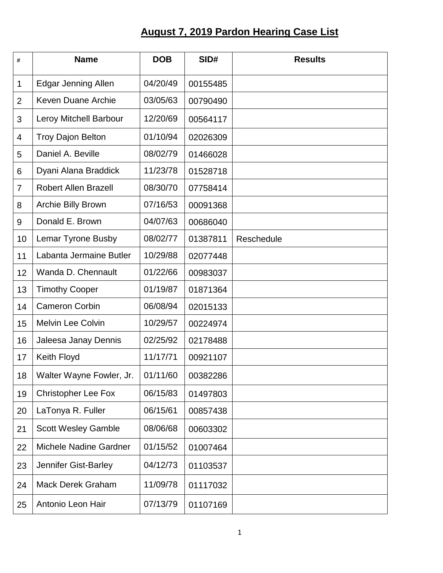## **August 7, 2019 Pardon Hearing Case List**

| #              | <b>Name</b>                 | <b>DOB</b> | SID#     | <b>Results</b> |
|----------------|-----------------------------|------------|----------|----------------|
| 1              | <b>Edgar Jenning Allen</b>  | 04/20/49   | 00155485 |                |
| $\overline{2}$ | <b>Keven Duane Archie</b>   | 03/05/63   | 00790490 |                |
| 3              | Leroy Mitchell Barbour      | 12/20/69   | 00564117 |                |
| 4              | <b>Troy Dajon Belton</b>    | 01/10/94   | 02026309 |                |
| 5              | Daniel A. Beville           | 08/02/79   | 01466028 |                |
| 6              | Dyani Alana Braddick        | 11/23/78   | 01528718 |                |
| 7              | <b>Robert Allen Brazell</b> | 08/30/70   | 07758414 |                |
| 8              | Archie Billy Brown          | 07/16/53   | 00091368 |                |
| 9              | Donald E. Brown             | 04/07/63   | 00686040 |                |
| 10             | <b>Lemar Tyrone Busby</b>   | 08/02/77   | 01387811 | Reschedule     |
| 11             | Labanta Jermaine Butler     | 10/29/88   | 02077448 |                |
| 12             | Wanda D. Chennault          | 01/22/66   | 00983037 |                |
| 13             | <b>Timothy Cooper</b>       | 01/19/87   | 01871364 |                |
| 14             | <b>Cameron Corbin</b>       | 06/08/94   | 02015133 |                |
| 15             | <b>Melvin Lee Colvin</b>    | 10/29/57   | 00224974 |                |
| 16             | Jaleesa Janay Dennis        | 02/25/92   | 02178488 |                |
| 17             | Keith Floyd                 | 11/17/71   | 00921107 |                |
| 18             | Walter Wayne Fowler, Jr.    | 01/11/60   | 00382286 |                |
| 19             | <b>Christopher Lee Fox</b>  | 06/15/83   | 01497803 |                |
| 20             | LaTonya R. Fuller           | 06/15/61   | 00857438 |                |
| 21             | <b>Scott Wesley Gamble</b>  | 08/06/68   | 00603302 |                |
| 22             | Michele Nadine Gardner      | 01/15/52   | 01007464 |                |
| 23             | Jennifer Gist-Barley        | 04/12/73   | 01103537 |                |
| 24             | <b>Mack Derek Graham</b>    | 11/09/78   | 01117032 |                |
| 25             | Antonio Leon Hair           | 07/13/79   | 01107169 |                |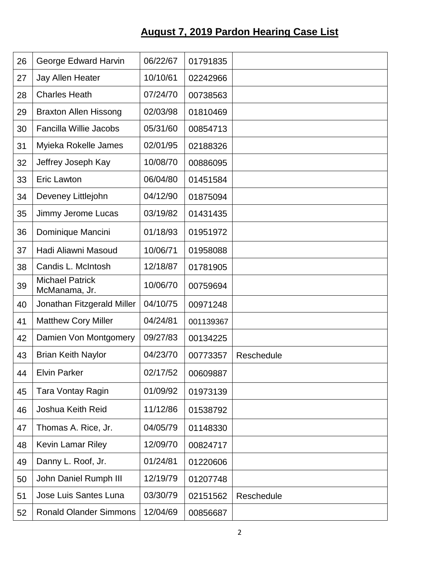## **August 7, 2019 Pardon Hearing Case List**

| 26 | George Edward Harvin                    | 06/22/67 | 01791835  |            |
|----|-----------------------------------------|----------|-----------|------------|
| 27 | Jay Allen Heater                        | 10/10/61 | 02242966  |            |
| 28 | <b>Charles Heath</b>                    | 07/24/70 | 00738563  |            |
| 29 | <b>Braxton Allen Hissong</b>            | 02/03/98 | 01810469  |            |
| 30 | <b>Fancilla Willie Jacobs</b>           | 05/31/60 | 00854713  |            |
| 31 | Myieka Rokelle James                    | 02/01/95 | 02188326  |            |
| 32 | Jeffrey Joseph Kay                      | 10/08/70 | 00886095  |            |
| 33 | <b>Eric Lawton</b>                      | 06/04/80 | 01451584  |            |
| 34 | Deveney Littlejohn                      | 04/12/90 | 01875094  |            |
| 35 | Jimmy Jerome Lucas                      | 03/19/82 | 01431435  |            |
| 36 | Dominique Mancini                       | 01/18/93 | 01951972  |            |
| 37 | Hadi Aliawni Masoud                     | 10/06/71 | 01958088  |            |
| 38 | Candis L. McIntosh                      | 12/18/87 | 01781905  |            |
| 39 | <b>Michael Patrick</b><br>McManama, Jr. | 10/06/70 | 00759694  |            |
| 40 | Jonathan Fitzgerald Miller              | 04/10/75 | 00971248  |            |
| 41 | <b>Matthew Cory Miller</b>              | 04/24/81 | 001139367 |            |
| 42 | Damien Von Montgomery                   | 09/27/83 | 00134225  |            |
| 43 | <b>Brian Keith Naylor</b>               | 04/23/70 | 00773357  | Reschedule |
| 44 | <b>Elvin Parker</b>                     | 02/17/52 | 00609887  |            |
| 45 | Tara Vontay Ragin                       | 01/09/92 | 01973139  |            |
| 46 | Joshua Keith Reid                       | 11/12/86 | 01538792  |            |
| 47 | Thomas A. Rice, Jr.                     | 04/05/79 | 01148330  |            |
| 48 | Kevin Lamar Riley                       | 12/09/70 | 00824717  |            |
| 49 | Danny L. Roof, Jr.                      | 01/24/81 | 01220606  |            |
| 50 | John Daniel Rumph III                   | 12/19/79 | 01207748  |            |
| 51 | Jose Luis Santes Luna                   | 03/30/79 | 02151562  | Reschedule |
| 52 | <b>Ronald Olander Simmons</b>           | 12/04/69 | 00856687  |            |